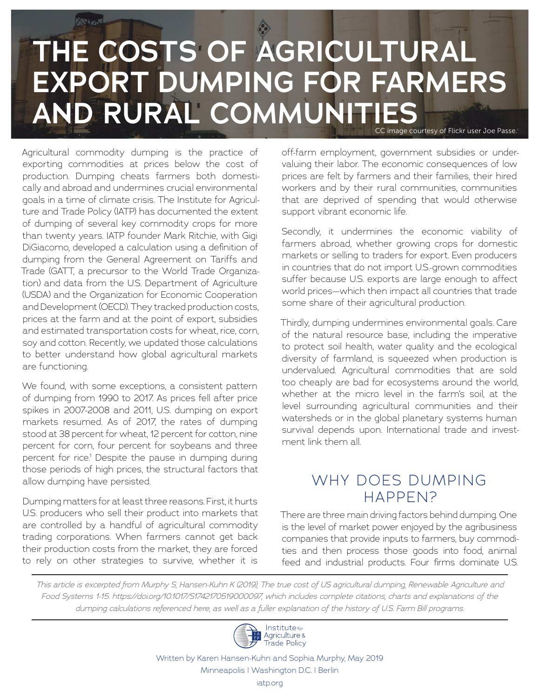# **THE COSTS OF AGRICULTURAL EXPORT DUMPING FOR FARMERS AND RURAL COMMUNITIES**

CC image courtesy of Flickr user Joe Passe.

Agricultural commodity dumping is the practice of exporting commodities at prices below the cost of production. Dumping cheats farmers both domestically and abroad and undermines crucial environmental goals in a time of climate crisis. The Institute for Agriculture and Trade Policy (IATP) has documented the extent of dumping of several key commodity crops for more than twenty years. IATP founder Mark Ritchie, with Gigi DiGiacomo, developed a calculation using a definition of dumping from the General Agreement on Tariffs and Trade (GATT, a precursor to the World Trade Organization) and data from the U.S. Department of Agriculture (USDA) and the Organization for Economic Cooperation and Development (OECD). They tracked production costs, prices at the farm and at the point of export, subsidies and estimated transportation costs for wheat, rice, corn, soy and cotton. Recently, we updated those calculations to better understand how global agricultural markets are functioning.

**Dans of The** 

We found, with some exceptions, a consistent pattern of dumping from 1990 to 2017. As prices fell after price spikes in 2007-2008 and 2011, U.S. dumping on export markets resumed. As of 2017, the rates of dumping stood at 38 percent for wheat, 12 percent for cotton, nine percent for corn, four percent for soybeans and three percent for rice.<sup>1</sup> Despite the pause in dumping during those periods of high prices, the structural factors that allow dumping have persisted.

Dumping matters for at least three reasons. First, it hurts U.S. producers who sell their product into markets that are controlled by a handful of agricultural commodity trading corporations. When farmers cannot get back their production costs from the market, they are forced to rely on other strategies to survive, whether it is

off-farm employment, government subsidies or undervaluing their labor. The economic consequences of low prices are felt by farmers and their families, their hired workers and by their rural communities, communities that are deprived of spending that would otherwise support vibrant economic life.

Secondly, it undermines the economic viability of farmers abroad, whether growing crops for domestic markets or selling to traders for export. Even producers in countries that do not import U.S.-grown commodities suffer because U.S. exports are large enough to affect world prices—which then impact all countries that trade some share of their agricultural production.

Thirdly, dumping undermines environmental goals. Care of the natural resource base, including the imperative to protect soil health, water quality and the ecological diversity of farmland, is squeezed when production is undervalued. Agricultural commodities that are sold too cheaply are bad for ecosystems around the world, whether at the micro level in the farm's soil, at the level surrounding agricultural communities and their watersheds or in the global planetary systems human survival depends upon. International trade and investment link them all.

### WHY DOES DUMPING HAPPEN?

There are three main driving factors behind dumping. One is the level of market power enjoyed by the agribusiness companies that provide inputs to farmers, buy commodities and then process those goods into food, animal feed and industrial products. Four firms dominate U.S.

*This article is excerpted from Murphy S, Hansen-Kuhn K (2019), The true cost of US agricultural dumping, Renewable Agriculture and Food Systems 1-15. https://doi.org/10.1017/S1742170519000097, which includes complete citations, charts and explanations of the dumping calculations referenced here, as well as a fuller explanation of the history of U.S. Farm Bill programs.*



Written by Karen Hansen-Kuhn and Sophia Murphy, May 2019 Minneapolis | Washington D.C. | Berlin iatp.org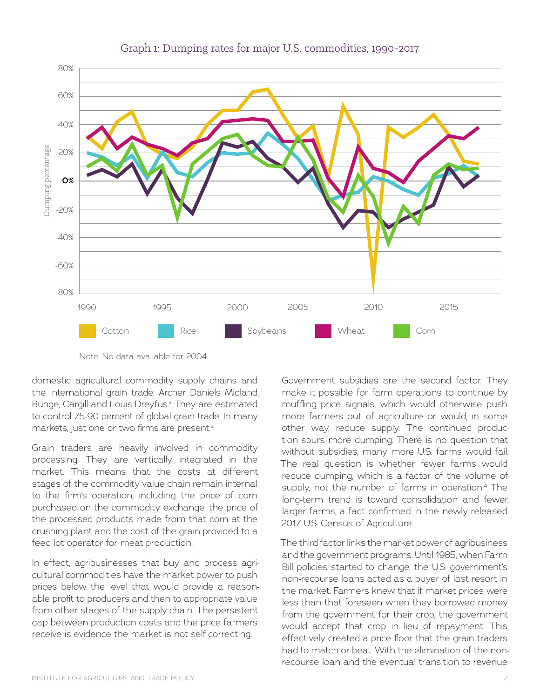

#### Graph 1: Dumping rates for major U.S. commodities, 1990-2017

Note: No data available for 2004.

domestic agricultural commodity supply chains and the international grain trade: Archer Daniels Midland, Bunge, Cargill and Louis Dreyfus.2 They are estimated to control 75-90 percent of global grain trade. In many markets, just one or two firms are present.<sup>3</sup>

Grain traders are heavily involved in commodity processing. They are vertically integrated in the market. This means that the costs at different stages of the commodity value chain remain internal to the firm's operation, including the price of corn purchased on the commodity exchange, the price of the processed products made from that corn at the crushing plant and the cost of the grain provided to a feed lot operator for meat production.

In effect, agribusinesses that buy and process agricultural commodities have the market power to push prices below the level that would provide a reasonable profit to producers and then to appropriate value from other stages of the supply chain. The persistent gap between production costs and the price farmers receive is evidence the market is not self-correcting.

Government subsidies are the second factor. They make it possible for farm operations to continue by muffling price signals, which would otherwise push more farmers out of agriculture or would, in some other way, reduce supply. The continued production spurs more dumping. There is no question that without subsidies, many more U.S. farms would fail. The real question is whether fewer farms would reduce dumping, which is a factor of the volume of supply, not the number of farms in operation.<sup>4</sup> The long-term trend is toward consolidation and fewer, larger farms, a fact confirmed in the newly released 2017 U.S. Census of Agriculture.

The third factor links the market power of agribusiness and the government programs. Until 1985, when Farm Bill policies started to change, the U.S. government's non-recourse loans acted as a buyer of last resort in the market. Farmers knew that if market prices were less than that foreseen when they borrowed money from the government for their crop, the government would accept that crop in lieu of repayment. This effectively created a price floor that the grain traders had to match or beat. With the elimination of the nonrecourse loan and the eventual transition to revenue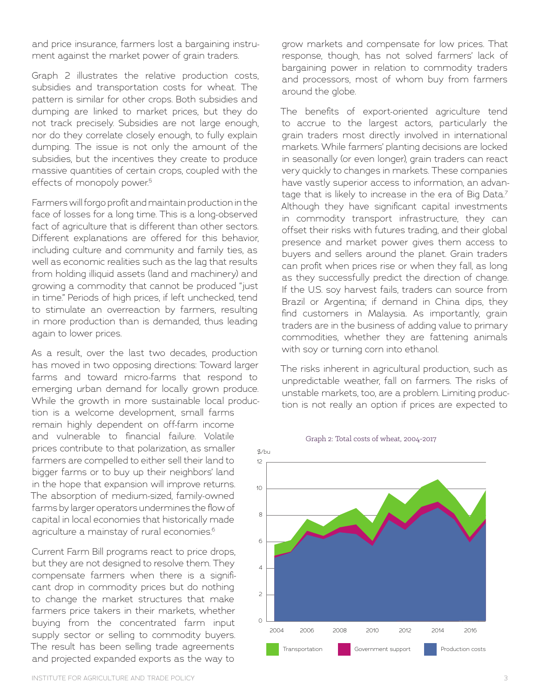and price insurance, farmers lost a bargaining instrument against the market power of grain traders.

Graph 2 illustrates the relative production costs, subsidies and transportation costs for wheat. The pattern is similar for other crops. Both subsidies and dumping are linked to market prices, but they do not track precisely. Subsidies are not large enough, nor do they correlate closely enough, to fully explain dumping. The issue is not only the amount of the subsidies, but the incentives they create to produce massive quantities of certain crops, coupled with the effects of monopoly power.<sup>5</sup>

Farmers will forgo profit and maintain production in the face of losses for a long time. This is a long-observed fact of agriculture that is different than other sectors. Different explanations are offered for this behavior, including culture and community and family ties, as well as economic realities such as the lag that results from holding illiquid assets (land and machinery) and growing a commodity that cannot be produced "just in time." Periods of high prices, if left unchecked, tend to stimulate an overreaction by farmers, resulting in more production than is demanded, thus leading again to lower prices.

As a result, over the last two decades, production has moved in two opposing directions: Toward larger farms and toward micro-farms that respond to emerging urban demand for locally grown produce. While the growth in more sustainable local production is a welcome development, small farms remain highly dependent on off-farm income and vulnerable to financial failure. Volatile prices contribute to that polarization, as smaller farmers are compelled to either sell their land to bigger farms or to buy up their neighbors' land in the hope that expansion will improve returns. The absorption of medium-sized, family-owned farms by larger operators undermines the flow of capital in local economies that historically made

Current Farm Bill programs react to price drops, but they are not designed to resolve them. They compensate farmers when there is a significant drop in commodity prices but do nothing to change the market structures that make farmers price takers in their markets, whether buying from the concentrated farm input supply sector or selling to commodity buyers. The result has been selling trade agreements and projected expanded exports as the way to

agriculture a mainstay of rural economies.<sup>6</sup>

grow markets and compensate for low prices. That response, though, has not solved farmers' lack of bargaining power in relation to commodity traders and processors, most of whom buy from farmers around the globe.

The benefits of export-oriented agriculture tend to accrue to the largest actors, particularly the grain traders most directly involved in international markets. While farmers' planting decisions are locked in seasonally (or even longer), grain traders can react very quickly to changes in markets. These companies have vastly superior access to information, an advantage that is likely to increase in the era of Big Data.<sup>7</sup> Although they have significant capital investments in commodity transport infrastructure, they can offset their risks with futures trading, and their global presence and market power gives them access to buyers and sellers around the planet. Grain traders can profit when prices rise or when they fall, as long as they successfully predict the direction of change. If the U.S. soy harvest fails, traders can source from Brazil or Argentina; if demand in China dips, they find customers in Malaysia. As importantly, grain traders are in the business of adding value to primary commodities, whether they are fattening animals with soy or turning corn into ethanol.

The risks inherent in agricultural production, such as unpredictable weather, fall on farmers. The risks of unstable markets, too, are a problem. Limiting production is not really an option if prices are expected to